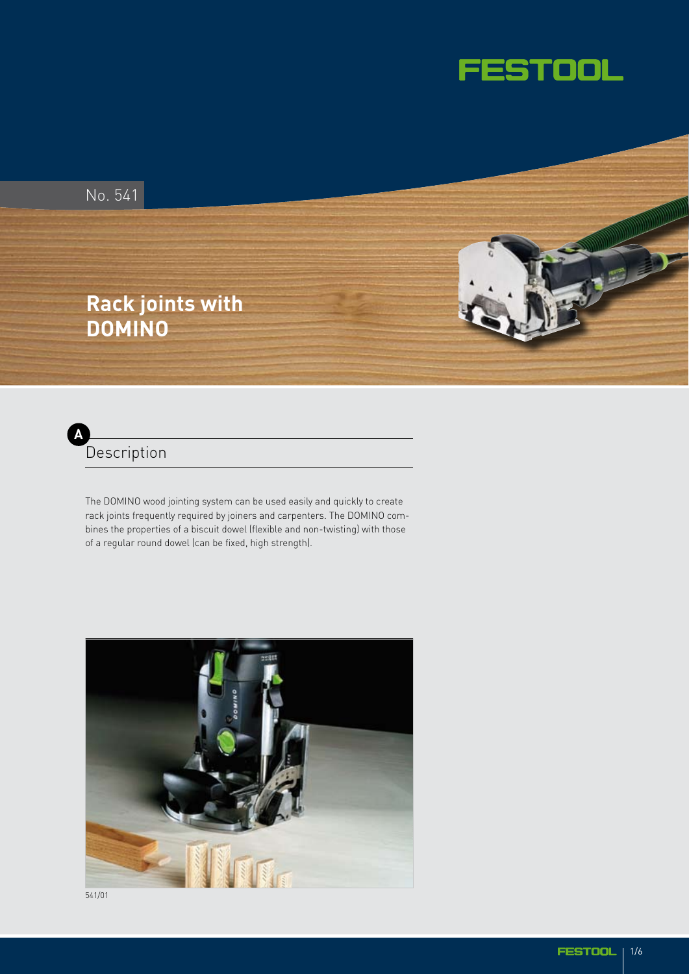





The DOMINO wood jointing system can be used easily and quickly to create rack joints frequently required by joiners and carpenters. The DOMINO combines the properties of a biscuit dowel (flexible and non-twisting) with those of a regular round dowel (can be fixed, high strength).



541/01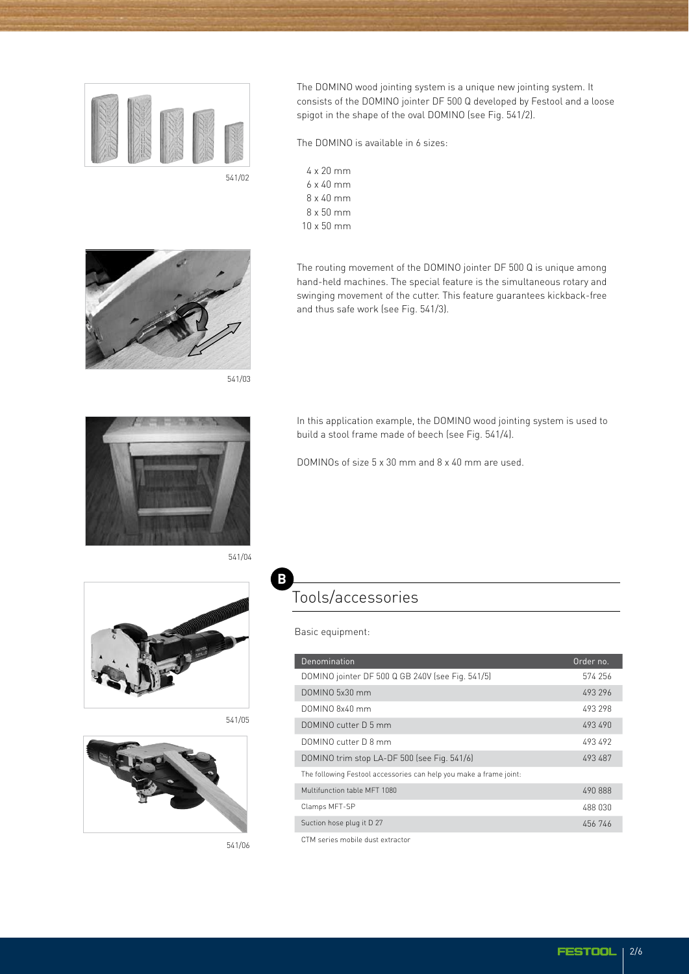

The DOMINO wood jointing system is a unique new jointing system. It consists of the DOMINO jointer DF 500 Q developed by Festool and a loose spigot in the shape of the oval DOMINO (see Fig. 541/2).

The DOMINO is available in 6 sizes:

and thus safe work (see Fig. 541/3).

4 x 20 mm 6 x 40 mm 8 x 40 mm 8 x 50 mm 10 x 50 mm



541/03

541/04

**B**



In this application example, the DOMINO wood jointing system is used to build a stool frame made of beech (see Fig. 541/4).

The routing movement of the DOMINO jointer DF 500 Q is unique among hand-held machines. The special feature is the simultaneous rotary and swinging movement of the cutter. This feature guarantees kickback-free

DOMINOs of size 5 x 30 mm and 8 x 40 mm are used.



541/05



541/06

## Tools/accessories

Basic equipment:

| Denomination                                                       | Order no. |
|--------------------------------------------------------------------|-----------|
| DOMINO jointer DF 500 Q GB 240V (see Fig. 541/5)                   | 574 256   |
| DOMINO 5x30 mm                                                     | 493 296   |
| DOMINO 8x40 mm                                                     | 493 298   |
| DOMINO cutter D.5 mm                                               | 493 490   |
| DOMINO cutter D 8 mm                                               | 493492    |
| DOMINO trim stop LA-DF 500 (see Fig. 541/6)                        | 493 487   |
| The following Festool accessories can help you make a frame joint: |           |
| Multifunction table MFT 1080                                       | 490888    |
| Clamps MFT-SP                                                      | 488 030   |
| Suction hose plug it D 27                                          | 456 746   |
| CTM series mobile dust extractor                                   |           |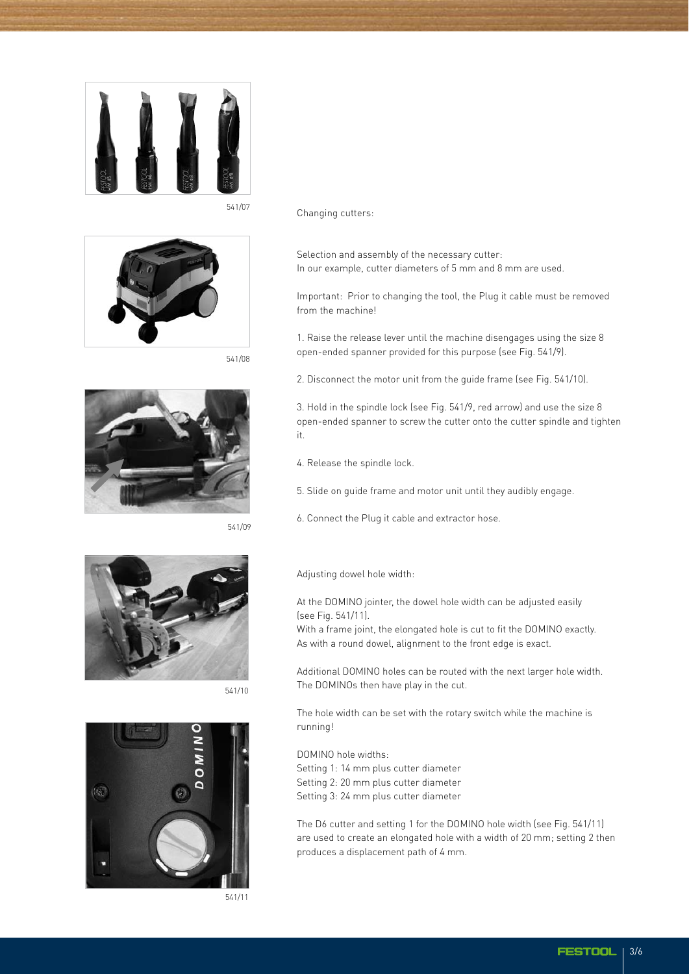



541/08



541/09



541/10



541/11

541/07 Changing cutters:

Selection and assembly of the necessary cutter: In our example, cutter diameters of 5 mm and 8 mm are used.

Important: Prior to changing the tool, the Plug it cable must be removed from the machine!

1. Raise the release lever until the machine disengages using the size 8 open-ended spanner provided for this purpose (see Fig. 541/9).

2. Disconnect the motor unit from the guide frame (see Fig. 541/10).

3. Hold in the spindle lock (see Fig. 541/9, red arrow) and use the size 8 open-ended spanner to screw the cutter onto the cutter spindle and tighten it.

4. Release the spindle lock.

5. Slide on guide frame and motor unit until they audibly engage.

6. Connect the Plug it cable and extractor hose.

Adjusting dowel hole width:

At the DOMINO jointer, the dowel hole width can be adjusted easily (see Fig. 541/11). With a frame joint, the elongated hole is cut to fit the DOMINO exactly.

As with a round dowel, alignment to the front edge is exact.

Additional DOMINO holes can be routed with the next larger hole width. The DOMINOs then have play in the cut.

The hole width can be set with the rotary switch while the machine is running!

DOMINO hole widths:

Setting 1: 14 mm plus cutter diameter Setting 2: 20 mm plus cutter diameter Setting 3: 24 mm plus cutter diameter

The D6 cutter and setting 1 for the DOMINO hole width (see Fig. 541/11) are used to create an elongated hole with a width of 20 mm; setting 2 then produces a displacement path of 4 mm.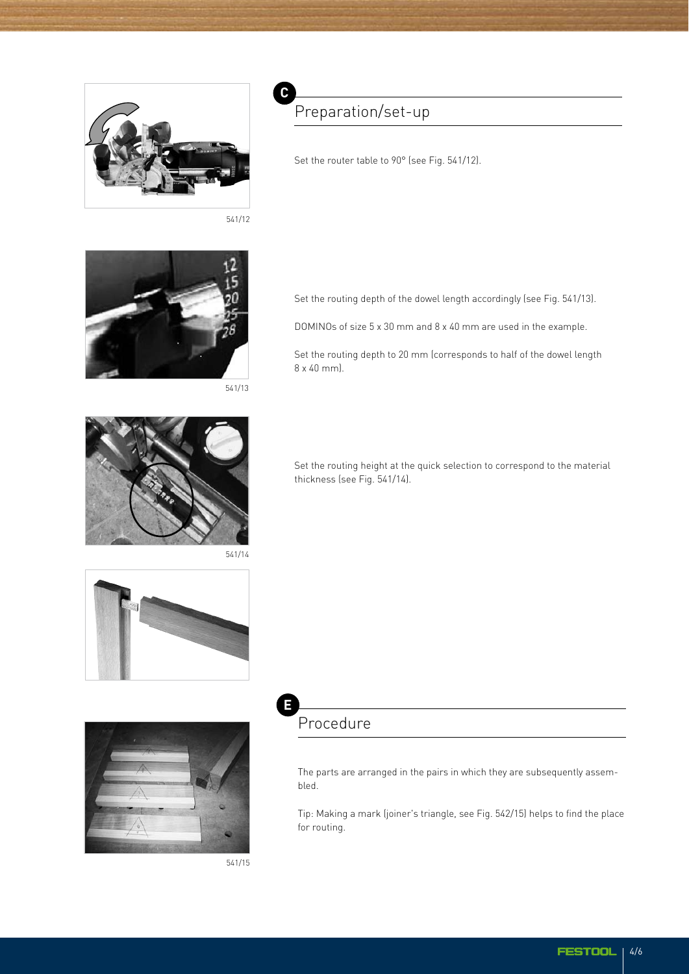

541/12

**C**



541/13

## Preparation/set-up

Set the router table to 90° (see Fig. 541/12).

Set the routing depth of the dowel length accordingly (see Fig. 541/13).

DOMINOs of size 5 x 30 mm and 8 x 40 mm are used in the example.

Set the routing depth to 20 mm (corresponds to half of the dowel length 8 x 40 mm).



541/14



Set the routing height at the quick selection to correspond to the material thickness (see Fig. 541/14).



**E** Procedure

> The parts are arranged in the pairs in which they are subsequently assembled.

Tip: Making a mark (joiner's triangle, see Fig. 542/15) helps to find the place for routing.

541/15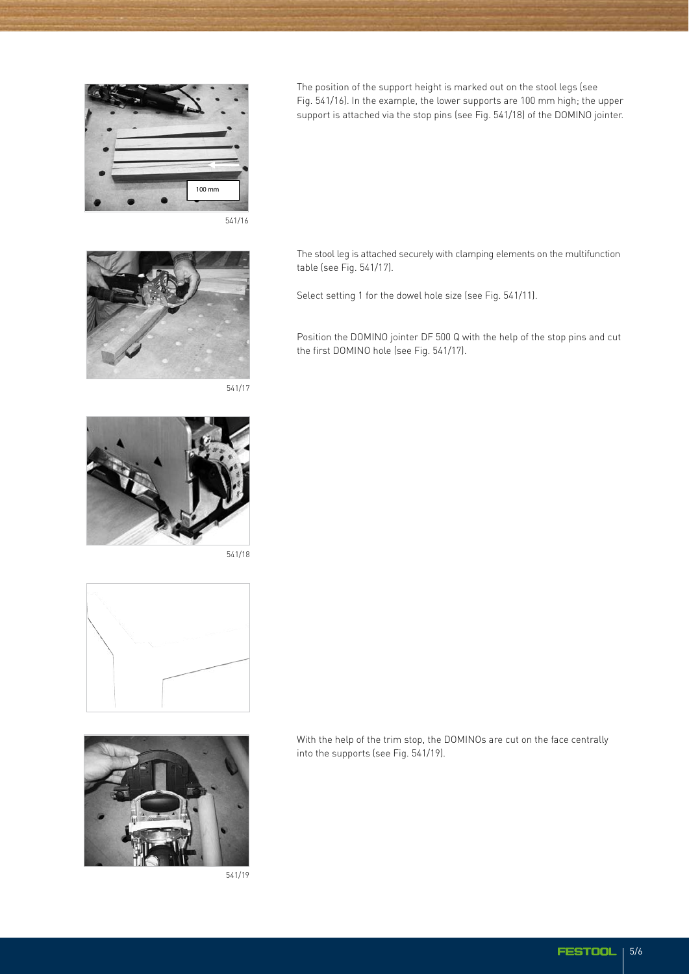

The position of the support height is marked out on the stool legs (see Fig. 541/16). In the example, the lower supports are 100 mm high; the upper support is attached via the stop pins (see Fig. 541/18) of the DOMINO jointer.



541/17



541/18





541/19

The stool leg is attached securely with clamping elements on the multifunction

Select setting 1 for the dowel hole size (see Fig. 541/11).

table (see Fig. 541/17).

Position the DOMINO jointer DF 500 Q with the help of the stop pins and cut the first DOMINO hole (see Fig. 541/17).

With the help of the trim stop, the DOMINOs are cut on the face centrally into the supports (see Fig. 541/19).